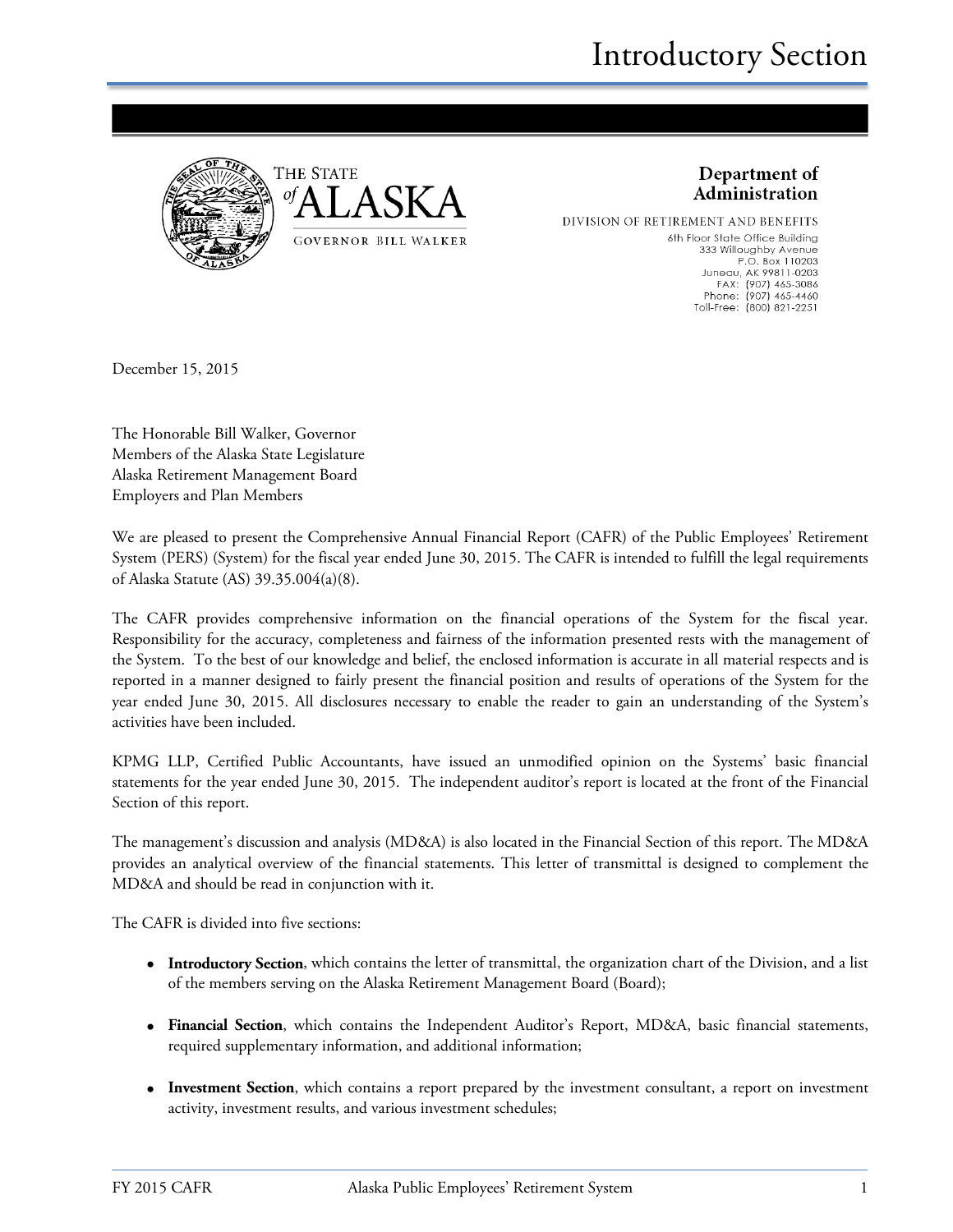



Department of Administration

DIVISION OF RETIREMENT AND BENEFITS 6th Floor State Office Building 333 Willoughby Avenue P.O. Box 110203 Juneau, AK 99811-0203<br>FAX: (907) 465-3086 Phone: (907) 465-4460 Toll-Free: (800) 821-2251

December 15, 2015

The Honorable Bill Walker, Governor Members of the Alaska State Legislature Alaska Retirement Management Board Employers and Plan Members

We are pleased to present the Comprehensive Annual Financial Report (CAFR) of the Public Employees' Retirement System (PERS) (System) for the fiscal year ended June 30, 2015. The CAFR is intended to fulfill the legal requirements of Alaska Statute (AS) 39.35.004(a)(8).

The CAFR provides comprehensive information on the financial operations of the System for the fiscal year. Responsibility for the accuracy, completeness and fairness of the information presented rests with the management of the System. To the best of our knowledge and belief, the enclosed information is accurate in all material respects and is reported in a manner designed to fairly present the financial position and results of operations of the System for the year ended June 30, 2015. All disclosures necessary to enable the reader to gain an understanding of the System's activities have been included.

KPMG LLP, Certified Public Accountants, have issued an unmodified opinion on the Systems' basic financial statements for the year ended June 30, 2015. The independent auditor's report is located at the front of the Financial Section of this report.

The management's discussion and analysis (MD&A) is also located in the Financial Section of this report. The MD&A provides an analytical overview of the financial statements. This letter of transmittal is designed to complement the MD&A and should be read in conjunction with it.

The CAFR is divided into five sections:

- **Introductory Section**, which contains the letter of transmittal, the organization chart of the Division, and a list of the members serving on the Alaska Retirement Management Board (Board);
- **Financial Section**, which contains the Independent Auditor's Report, MD&A, basic financial statements, required supplementary information, and additional information;
- **Investment Section**, which contains a report prepared by the investment consultant, a report on investment activity, investment results, and various investment schedules;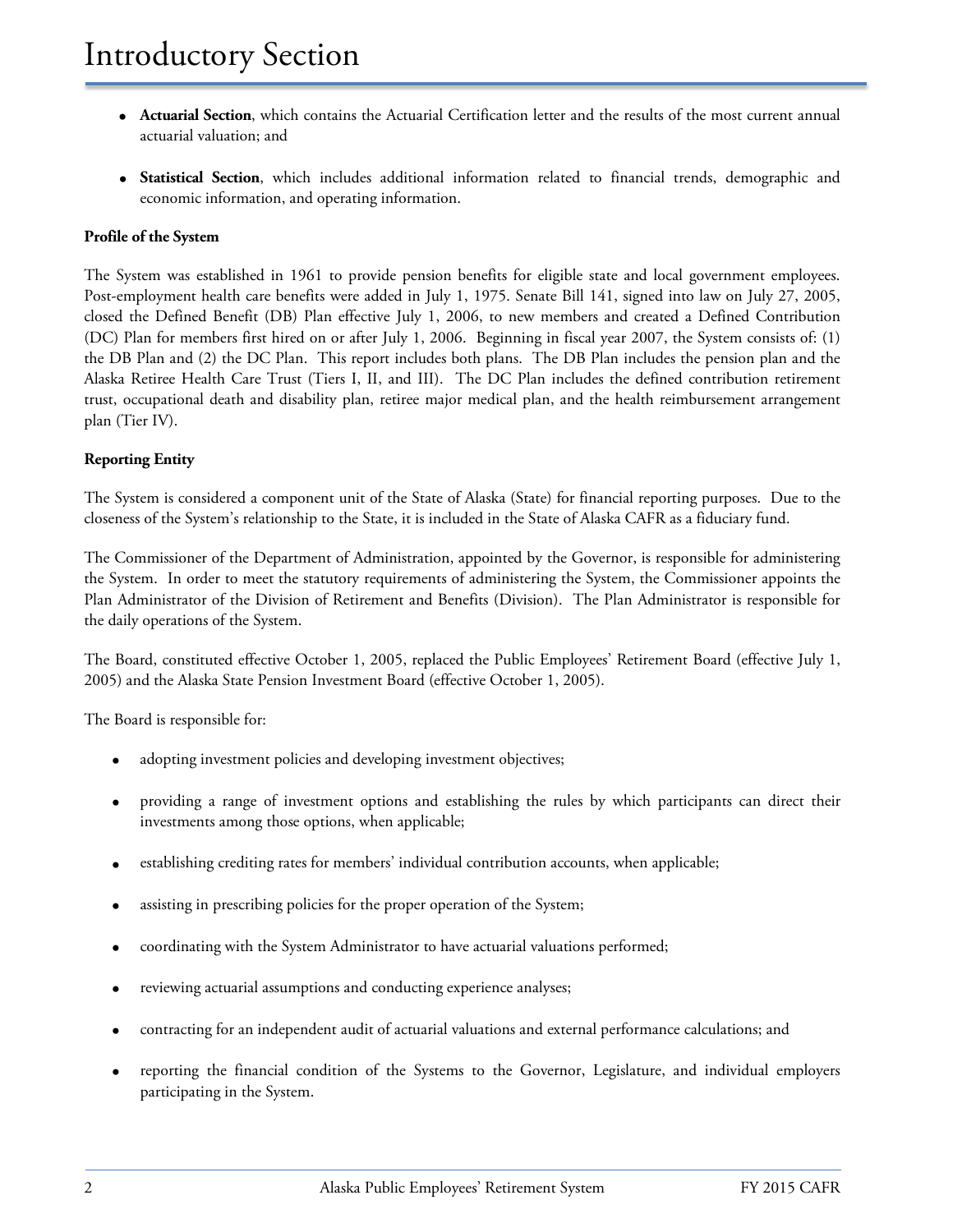- **Actuarial Section**, which contains the Actuarial Certification letter and the results of the most current annual actuarial valuation; and
- **Statistical Section**, which includes additional information related to financial trends, demographic and economic information, and operating information.

#### **Profile of the System**

The System was established in 1961 to provide pension benefits for eligible state and local government employees. Post-employment health care benefits were added in July 1, 1975. Senate Bill 141, signed into law on July 27, 2005, closed the Defined Benefit (DB) Plan effective July 1, 2006, to new members and created a Defined Contribution (DC) Plan for members first hired on or after July 1, 2006. Beginning in fiscal year 2007, the System consists of: (1) the DB Plan and (2) the DC Plan. This report includes both plans. The DB Plan includes the pension plan and the Alaska Retiree Health Care Trust (Tiers I, II, and III). The DC Plan includes the defined contribution retirement trust, occupational death and disability plan, retiree major medical plan, and the health reimbursement arrangement plan (Tier IV).

#### **Reporting Entity**

The System is considered a component unit of the State of Alaska (State) for financial reporting purposes. Due to the closeness of the System's relationship to the State, it is included in the State of Alaska CAFR as a fiduciary fund.

The Commissioner of the Department of Administration, appointed by the Governor, is responsible for administering the System. In order to meet the statutory requirements of administering the System, the Commissioner appoints the Plan Administrator of the Division of Retirement and Benefits (Division). The Plan Administrator is responsible for the daily operations of the System.

The Board, constituted effective October 1, 2005, replaced the Public Employees' Retirement Board (effective July 1, 2005) and the Alaska State Pension Investment Board (effective October 1, 2005).

The Board is responsible for:

- adopting investment policies and developing investment objectives;
- providing a range of investment options and establishing the rules by which participants can direct their investments among those options, when applicable;
- establishing crediting rates for members' individual contribution accounts, when applicable;
- assisting in prescribing policies for the proper operation of the System;
- coordinating with the System Administrator to have actuarial valuations performed;
- reviewing actuarial assumptions and conducting experience analyses;
- contracting for an independent audit of actuarial valuations and external performance calculations; and
- reporting the financial condition of the Systems to the Governor, Legislature, and individual employers participating in the System.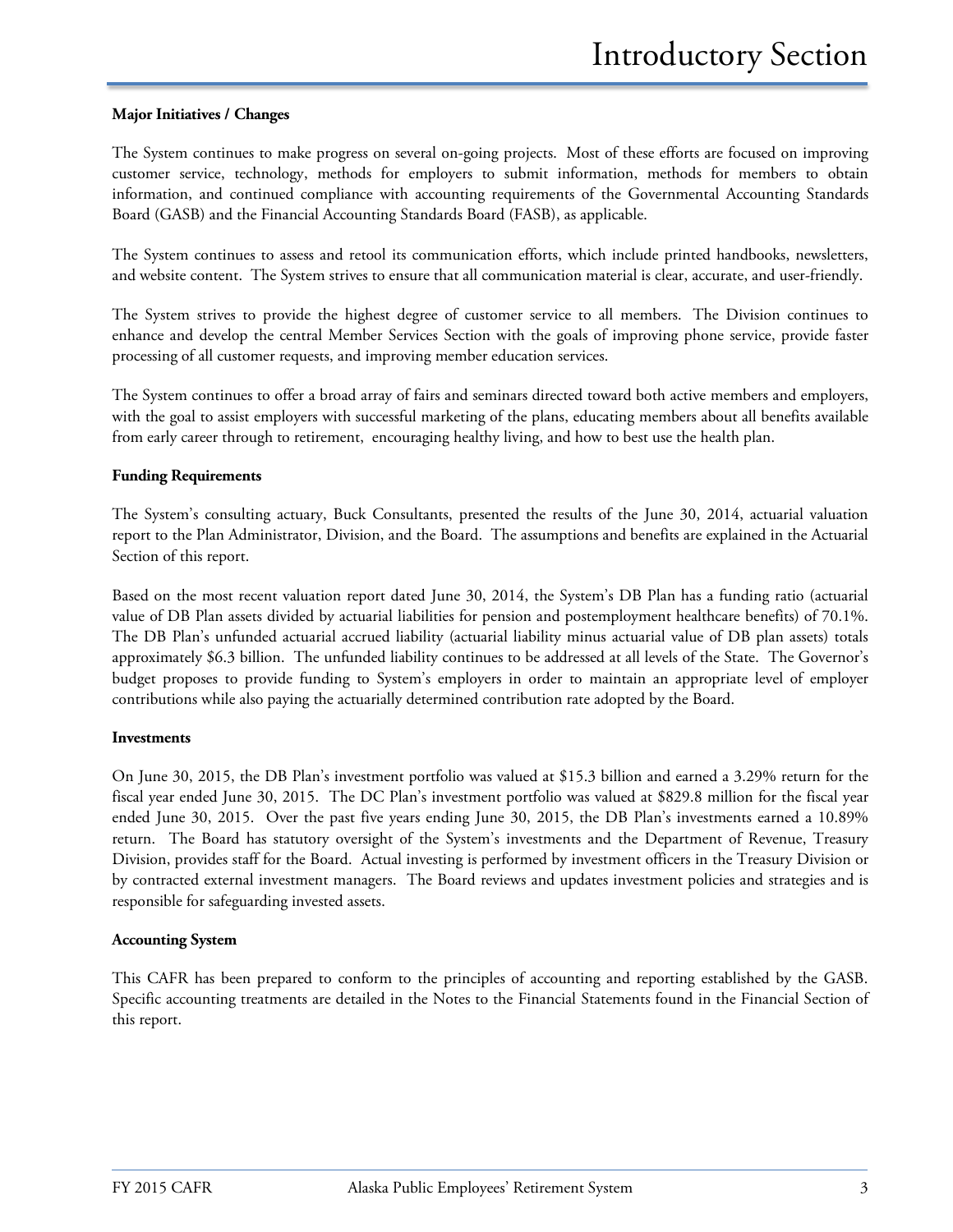#### **Major Initiatives / Changes**

The System continues to make progress on several on-going projects. Most of these efforts are focused on improving customer service, technology, methods for employers to submit information, methods for members to obtain information, and continued compliance with accounting requirements of the Governmental Accounting Standards Board (GASB) and the Financial Accounting Standards Board (FASB), as applicable.

The System continues to assess and retool its communication efforts, which include printed handbooks, newsletters, and website content. The System strives to ensure that all communication material is clear, accurate, and user-friendly.

The System strives to provide the highest degree of customer service to all members. The Division continues to enhance and develop the central Member Services Section with the goals of improving phone service, provide faster processing of all customer requests, and improving member education services.

The System continues to offer a broad array of fairs and seminars directed toward both active members and employers, with the goal to assist employers with successful marketing of the plans, educating members about all benefits available from early career through to retirement, encouraging healthy living, and how to best use the health plan.

#### **Funding Requirements**

The System's consulting actuary, Buck Consultants, presented the results of the June 30, 2014, actuarial valuation report to the Plan Administrator, Division, and the Board. The assumptions and benefits are explained in the Actuarial Section of this report.

Based on the most recent valuation report dated June 30, 2014, the System's DB Plan has a funding ratio (actuarial value of DB Plan assets divided by actuarial liabilities for pension and postemployment healthcare benefits) of 70.1%. The DB Plan's unfunded actuarial accrued liability (actuarial liability minus actuarial value of DB plan assets) totals approximately \$6.3 billion. The unfunded liability continues to be addressed at all levels of the State. The Governor's budget proposes to provide funding to System's employers in order to maintain an appropriate level of employer contributions while also paying the actuarially determined contribution rate adopted by the Board.

#### **Investments**

On June 30, 2015, the DB Plan's investment portfolio was valued at \$15.3 billion and earned a 3.29% return for the fiscal year ended June 30, 2015. The DC Plan's investment portfolio was valued at \$829.8 million for the fiscal year ended June 30, 2015. Over the past five years ending June 30, 2015, the DB Plan's investments earned a 10.89% return. The Board has statutory oversight of the System's investments and the Department of Revenue, Treasury Division, provides staff for the Board. Actual investing is performed by investment officers in the Treasury Division or by contracted external investment managers. The Board reviews and updates investment policies and strategies and is responsible for safeguarding invested assets.

#### **Accounting System**

This CAFR has been prepared to conform to the principles of accounting and reporting established by the GASB. Specific accounting treatments are detailed in the Notes to the Financial Statements found in the Financial Section of this report.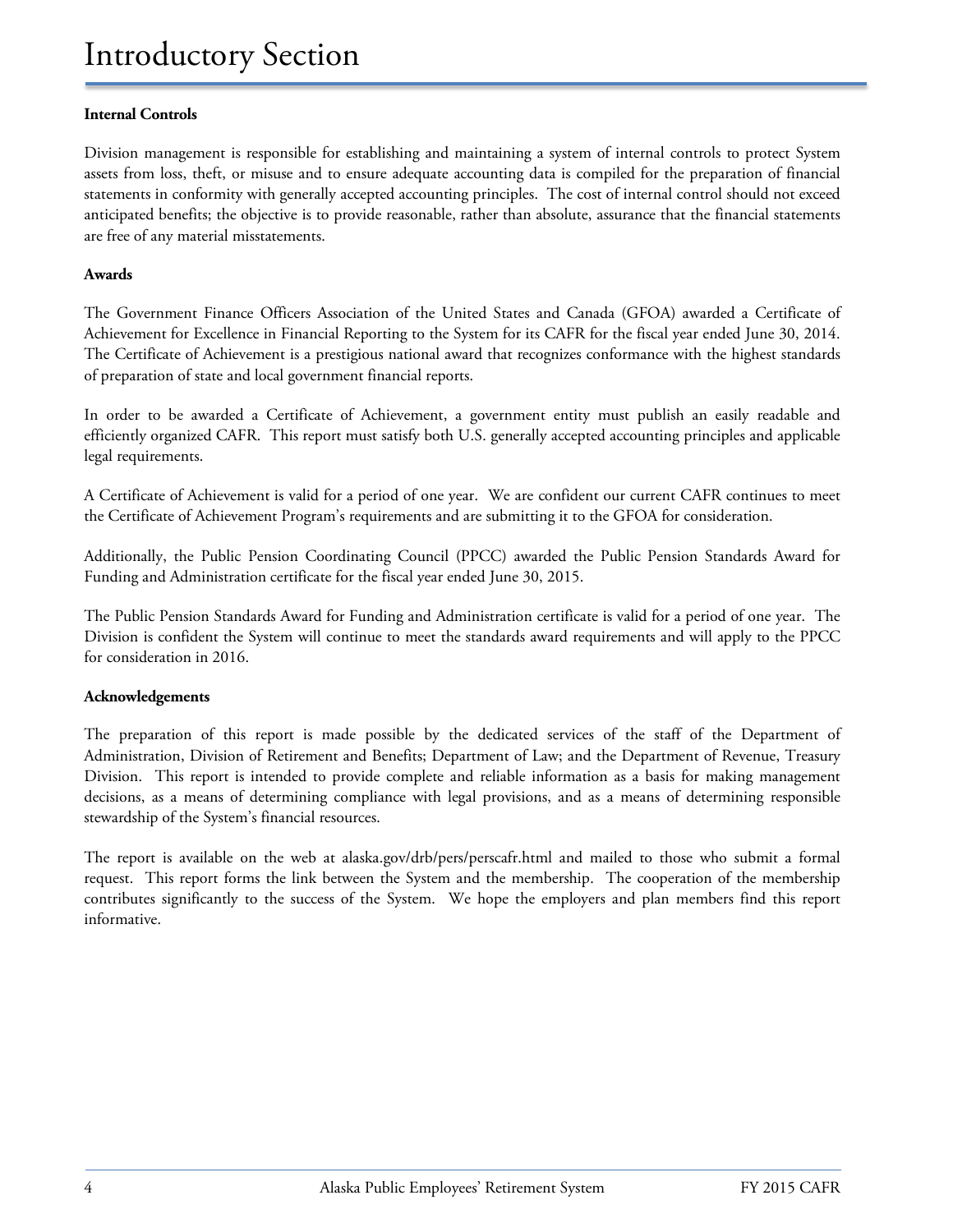#### **Internal Controls**

Division management is responsible for establishing and maintaining a system of internal controls to protect System assets from loss, theft, or misuse and to ensure adequate accounting data is compiled for the preparation of financial statements in conformity with generally accepted accounting principles. The cost of internal control should not exceed anticipated benefits; the objective is to provide reasonable, rather than absolute, assurance that the financial statements are free of any material misstatements.

#### **Awards**

The Government Finance Officers Association of the United States and Canada (GFOA) awarded a Certificate of Achievement for Excellence in Financial Reporting to the System for its CAFR for the fiscal year ended June 30, 2014. The Certificate of Achievement is a prestigious national award that recognizes conformance with the highest standards of preparation of state and local government financial reports.

In order to be awarded a Certificate of Achievement, a government entity must publish an easily readable and efficiently organized CAFR. This report must satisfy both U.S. generally accepted accounting principles and applicable legal requirements.

A Certificate of Achievement is valid for a period of one year. We are confident our current CAFR continues to meet the Certificate of Achievement Program's requirements and are submitting it to the GFOA for consideration.

Additionally, the Public Pension Coordinating Council (PPCC) awarded the Public Pension Standards Award for Funding and Administration certificate for the fiscal year ended June 30, 2015.

The Public Pension Standards Award for Funding and Administration certificate is valid for a period of one year. The Division is confident the System will continue to meet the standards award requirements and will apply to the PPCC for consideration in 2016.

#### **Acknowledgements**

The preparation of this report is made possible by the dedicated services of the staff of the Department of Administration, Division of Retirement and Benefits; Department of Law; and the Department of Revenue, Treasury Division. This report is intended to provide complete and reliable information as a basis for making management decisions, as a means of determining compliance with legal provisions, and as a means of determining responsible stewardship of the System's financial resources.

The report is available on the web at [alaska.gov/drb/pers/perscafr.html](http://doa.alaska.gov/drb/pers/perscafr.html) and mailed to those who submit a formal request. This report forms the link between the System and the membership. The cooperation of the membership contributes significantly to the success of the System. We hope the employers and plan members find this report informative.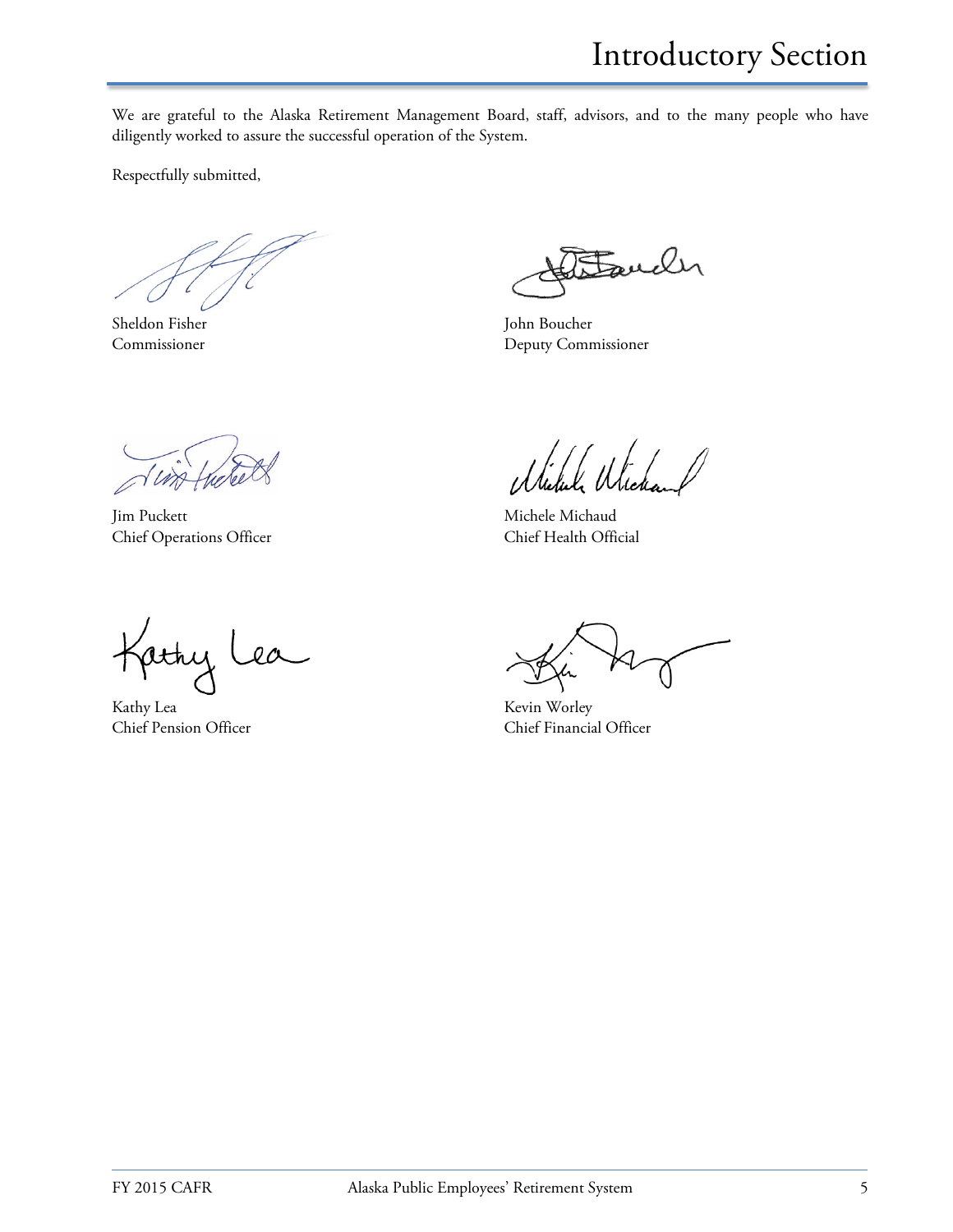We are grateful to the Alaska Retirement Management Board, staff, advisors, and to the many people who have diligently worked to assure the successful operation of the System.

Respectfully submitted,

Sheldon Fisher John Boucher

Fauch

Commissioner Deputy Commissioner

Jim Puckett Michaud Michele Michaud Chief Operations Officer Chief Health Official

 $\frac{1}{\sqrt{2}}$ jathy Lea

Kathy Lea Kevin Worley

Chief Pension Officer Chief Financial Officer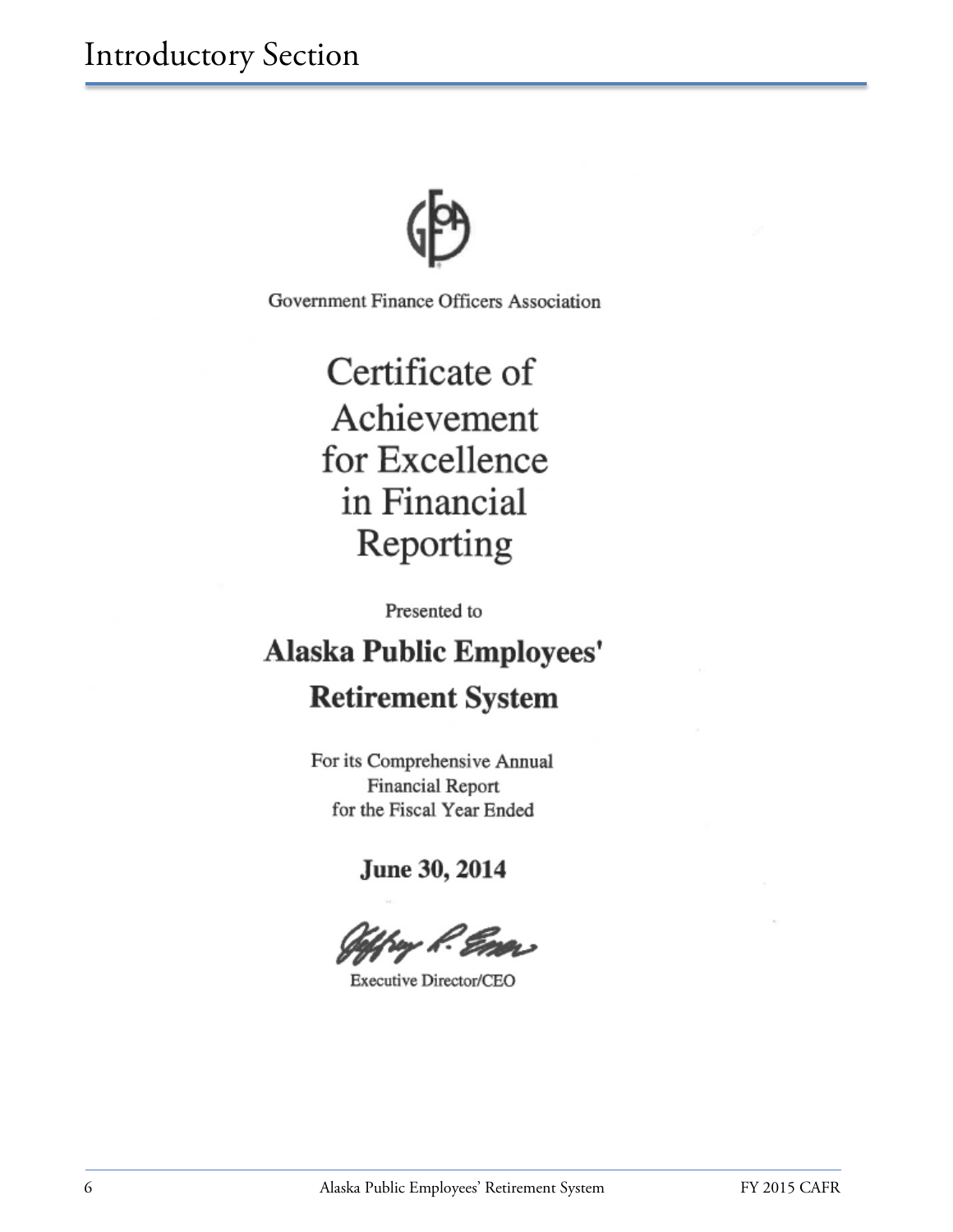

Government Finance Officers Association

Certificate of Achievement for Excellence in Financial Reporting

Presented to

# **Alaska Public Employees' Retirement System**

For its Comprehensive Annual **Financial Report** for the Fiscal Year Ended

June 30, 2014

Executive Director/CEO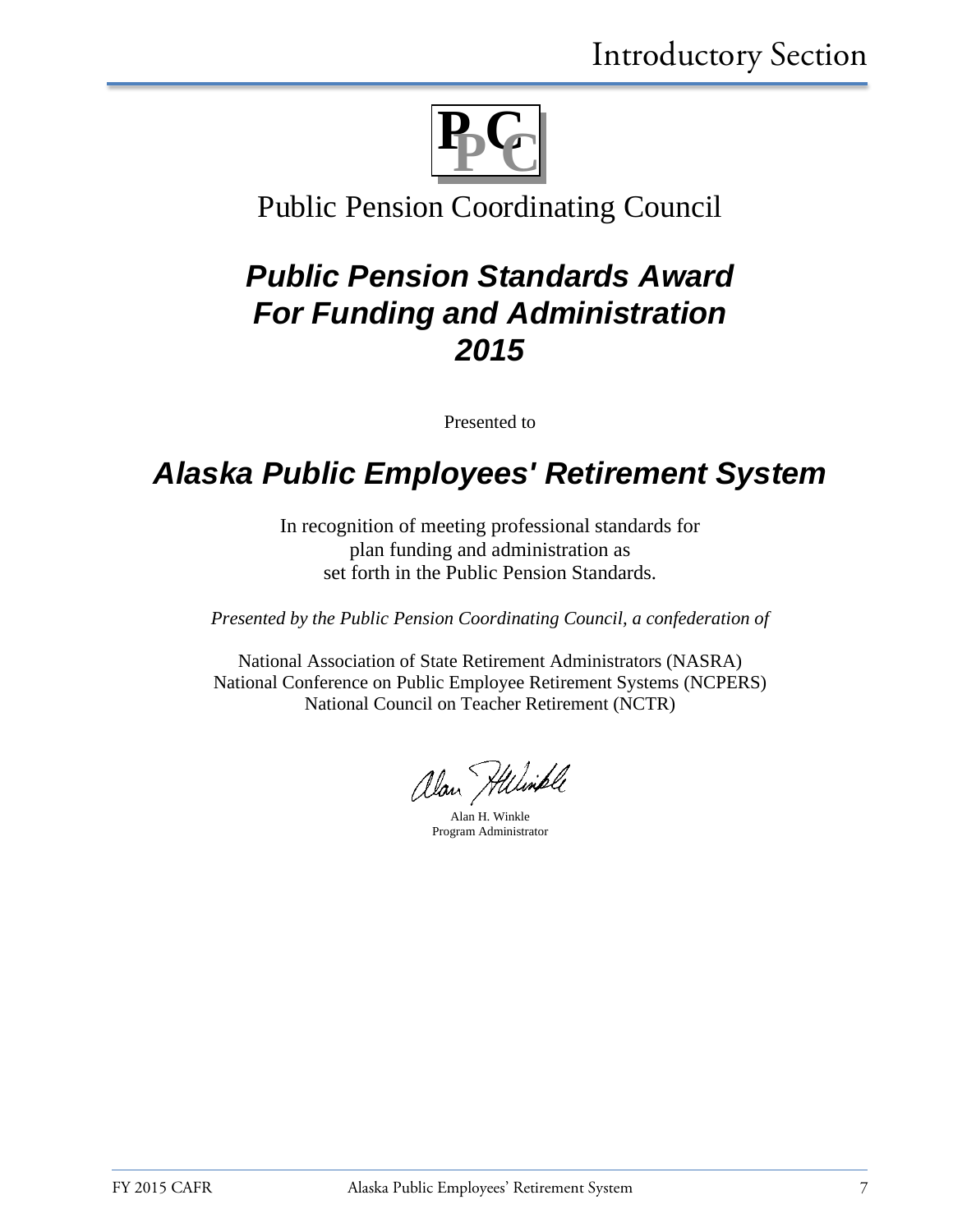

### Public Pension Coordinating Council

## *Public Pension Standards Award For Funding and Administration 2015*

Presented to

## *Alaska Public Employees' Retirement System*

In recognition of meeting professional standards for plan funding and administration as set forth in the Public Pension Standards.

*Presented by the Public Pension Coordinating Council, a confederation of*

National Association of State Retirement Administrators (NASRA) National Conference on Public Employee Retirement Systems (NCPERS) National Council on Teacher Retirement (NCTR)

alan Hilimple

Alan H. Winkle Program Administrator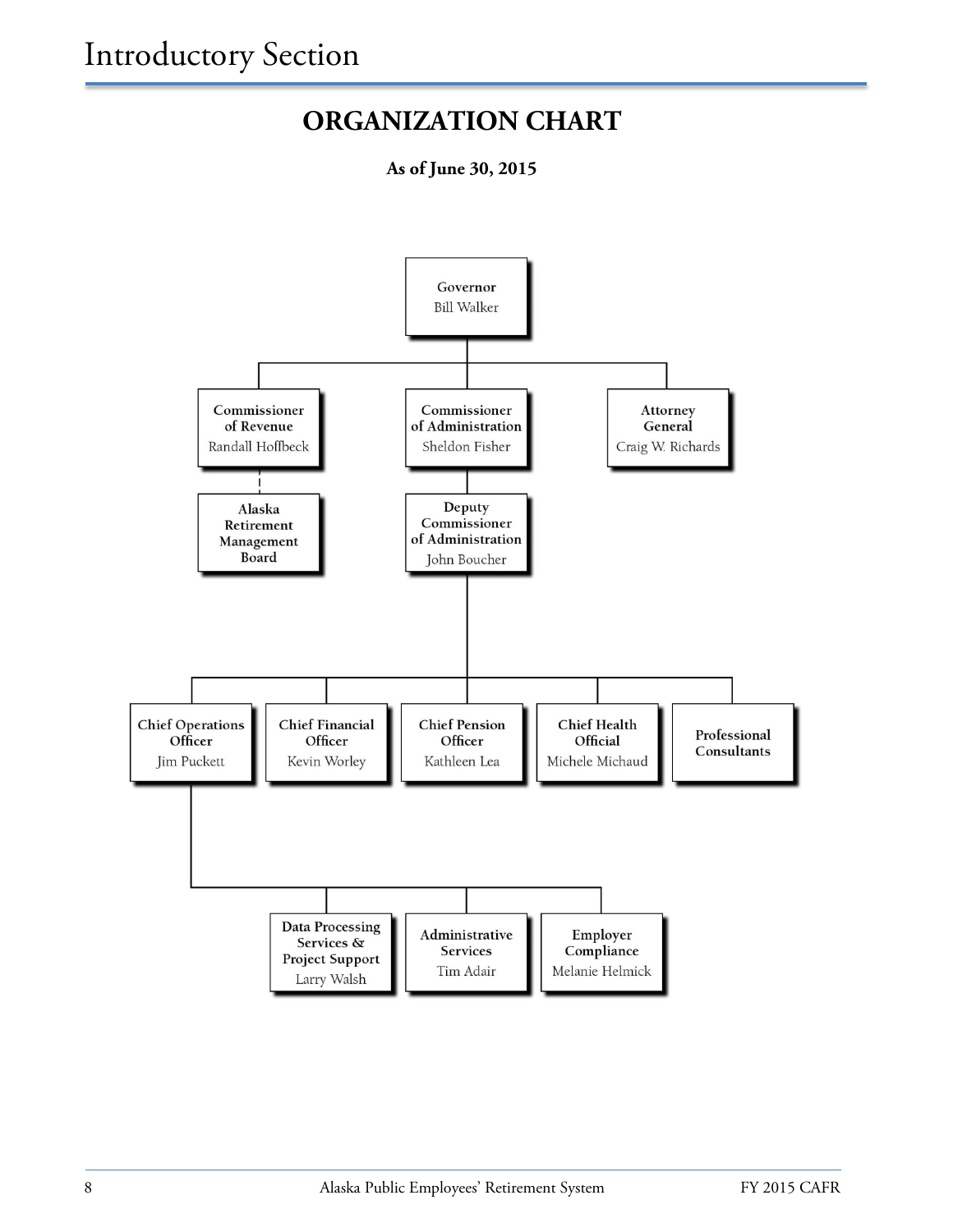### **ORGANIZATION CHART**

**As of June 30, 2015**

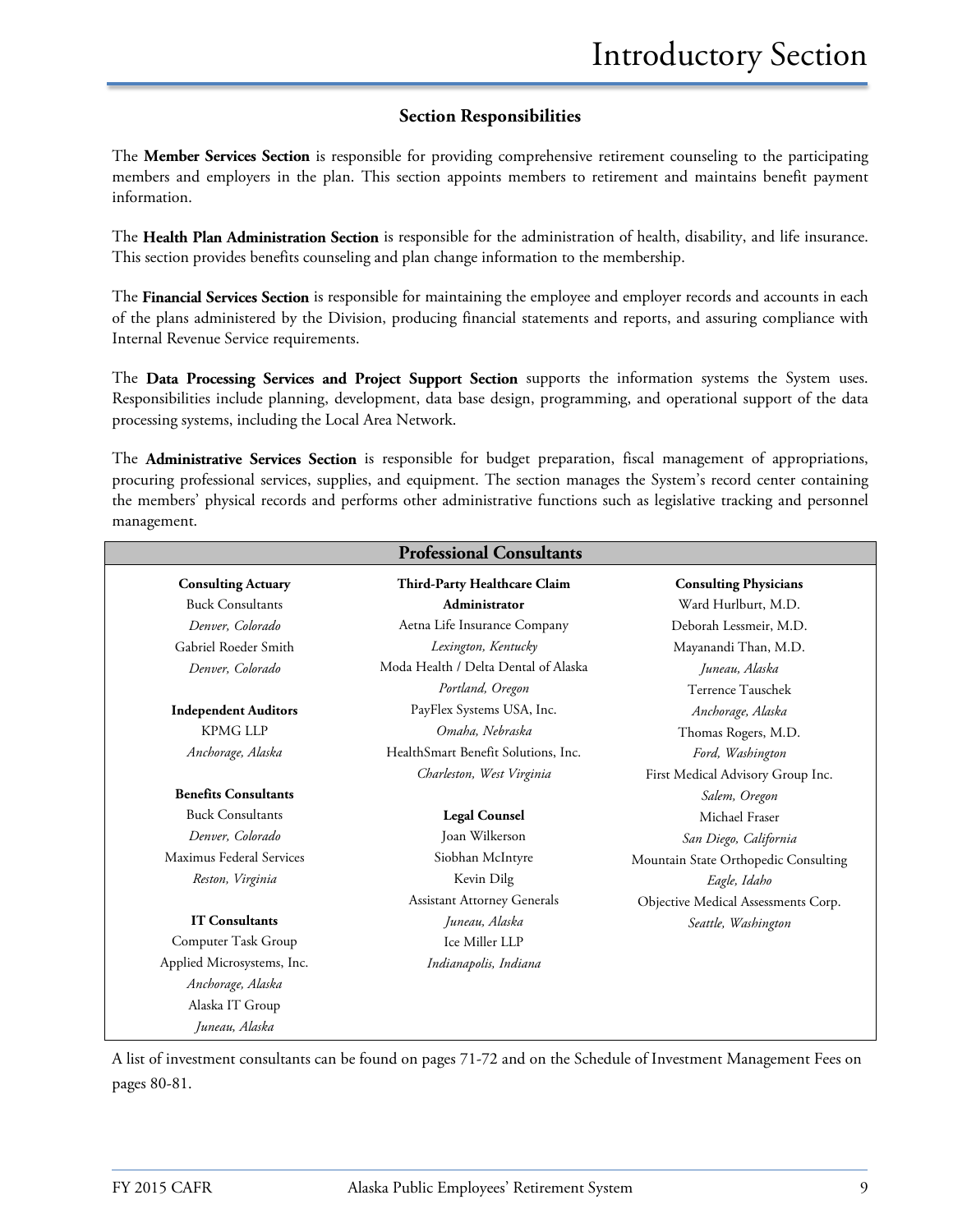### **Section Responsibilities**

The **Member Services Section** is responsible for providing comprehensive retirement counseling to the participating members and employers in the plan. This section appoints members to retirement and maintains benefit payment information.

The **Health Plan Administration Section** is responsible for the administration of health, disability, and life insurance. This section provides benefits counseling and plan change information to the membership.

The **Financial Services Section** is responsible for maintaining the employee and employer records and accounts in each of the plans administered by the Division, producing financial statements and reports, and assuring compliance with Internal Revenue Service requirements.

The **Data Processing Services and Project Support Section** supports the information systems the System uses. Responsibilities include planning, development, data base design, programming, and operational support of the data processing systems, including the Local Area Network.

The **Administrative Services Section** is responsible for budget preparation, fiscal management of appropriations, procuring professional services, supplies, and equipment. The section manages the System's record center containing the members' physical records and performs other administrative functions such as legislative tracking and personnel management.

| <b>Professional Consultants</b> |                                      |                                      |
|---------------------------------|--------------------------------------|--------------------------------------|
| <b>Consulting Actuary</b>       | Third-Party Healthcare Claim         | <b>Consulting Physicians</b>         |
| <b>Buck Consultants</b>         | Administrator                        | Ward Hurlburt, M.D.                  |
| Denver, Colorado                | Aetna Life Insurance Company         | Deborah Lessmeir, M.D.               |
| Gabriel Roeder Smith            | Lexington, Kentucky                  | Mayanandi Than, M.D.                 |
| Denver, Colorado                | Moda Health / Delta Dental of Alaska | Juneau, Alaska                       |
|                                 | Portland, Oregon                     | Terrence Tauschek                    |
| <b>Independent Auditors</b>     | PayFlex Systems USA, Inc.            | Anchorage, Alaska                    |
| <b>KPMG LLP</b>                 | Omaha, Nebraska                      | Thomas Rogers, M.D.                  |
| Anchorage, Alaska               | HealthSmart Benefit Solutions, Inc.  | Ford, Washington                     |
|                                 | Charleston, West Virginia            | First Medical Advisory Group Inc.    |
| <b>Benefits Consultants</b>     |                                      | Salem, Oregon                        |
| <b>Buck Consultants</b>         | <b>Legal Counsel</b>                 | Michael Fraser                       |
| Denver, Colorado                | Joan Wilkerson                       | San Diego, California                |
| Maximus Federal Services        | Siobhan McIntyre                     | Mountain State Orthopedic Consulting |
| Reston, Virginia                | Kevin Dilg                           | Eagle, Idaho                         |
|                                 | <b>Assistant Attorney Generals</b>   | Objective Medical Assessments Corp.  |
| <b>IT Consultants</b>           | Juneau, Alaska                       | Seattle, Washington                  |
| Computer Task Group             | Ice Miller LLP                       |                                      |
| Applied Microsystems, Inc.      | Indianapolis, Indiana                |                                      |
| Anchorage, Alaska               |                                      |                                      |
| Alaska IT Group                 |                                      |                                      |
| Juneau, Alaska                  |                                      |                                      |

A list of investment consultants can be found on pages 71-72 and on the Schedule of Investment Management Fees on pages 80-81.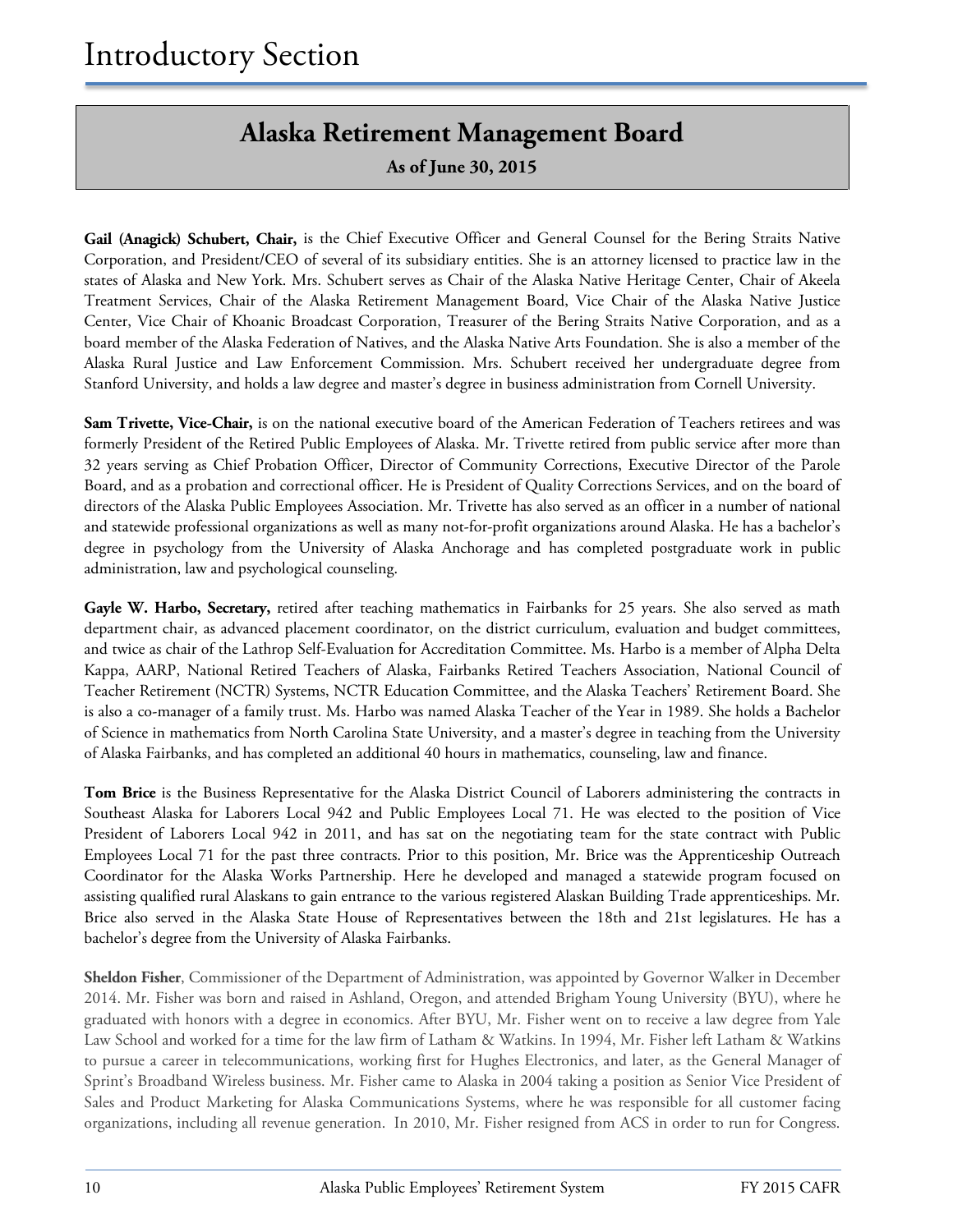### **Alaska Retirement Management Board**

**As of June 30, 2015**

**Gail (Anagick) Schubert, Chair,** is the Chief Executive Officer and General Counsel for the Bering Straits Native Corporation, and President/CEO of several of its subsidiary entities. She is an attorney licensed to practice law in the states of Alaska and New York. Mrs. Schubert serves as Chair of the Alaska Native Heritage Center, Chair of Akeela Treatment Services, Chair of the Alaska Retirement Management Board, Vice Chair of the Alaska Native Justice Center, Vice Chair of Khoanic Broadcast Corporation, Treasurer of the Bering Straits Native Corporation, and as a board member of the Alaska Federation of Natives, and the Alaska Native Arts Foundation. She is also a member of the Alaska Rural Justice and Law Enforcement Commission. Mrs. Schubert received her undergraduate degree from Stanford University, and holds a law degree and master's degree in business administration from Cornell University.

**Sam Trivette, Vice-Chair,** is on the national executive board of the American Federation of Teachers retirees and was formerly President of the Retired Public Employees of Alaska. Mr. Trivette retired from public service after more than 32 years serving as Chief Probation Officer, Director of Community Corrections, Executive Director of the Parole Board, and as a probation and correctional officer. He is President of Quality Corrections Services, and on the board of directors of the Alaska Public Employees Association. Mr. Trivette has also served as an officer in a number of national and statewide professional organizations as well as many not-for-profit organizations around Alaska. He has a bachelor's degree in psychology from the University of Alaska Anchorage and has completed postgraduate work in public administration, law and psychological counseling.

Gayle W. Harbo, Secretary, retired after teaching mathematics in Fairbanks for 25 years. She also served as math department chair, as advanced placement coordinator, on the district curriculum, evaluation and budget committees, and twice as chair of the Lathrop Self-Evaluation for Accreditation Committee. Ms. Harbo is a member of Alpha Delta Kappa, AARP, National Retired Teachers of Alaska, Fairbanks Retired Teachers Association, National Council of Teacher Retirement (NCTR) Systems, NCTR Education Committee, and the Alaska Teachers' Retirement Board. She is also a co-manager of a family trust. Ms. Harbo was named Alaska Teacher of the Year in 1989. She holds a Bachelor of Science in mathematics from North Carolina State University, and a master's degree in teaching from the University of Alaska Fairbanks, and has completed an additional 40 hours in mathematics, counseling, law and finance.

**Tom Brice** is the Business Representative for the Alaska District Council of Laborers administering the contracts in Southeast Alaska for Laborers Local 942 and Public Employees Local 71. He was elected to the position of Vice President of Laborers Local 942 in 2011, and has sat on the negotiating team for the state contract with Public Employees Local 71 for the past three contracts. Prior to this position, Mr. Brice was the Apprenticeship Outreach Coordinator for the Alaska Works Partnership. Here he developed and managed a statewide program focused on assisting qualified rural Alaskans to gain entrance to the various registered Alaskan Building Trade apprenticeships. Mr. Brice also served in the Alaska State House of Representatives between the 18th and 21st legislatures. He has a bachelor's degree from the University of Alaska Fairbanks.

**Sheldon Fisher**, Commissioner of the Department of Administration, was appointed by Governor Walker in December 2014. Mr. Fisher was born and raised in Ashland, Oregon, and attended Brigham Young University (BYU), where he graduated with honors with a degree in economics. After BYU, Mr. Fisher went on to receive a law degree from Yale Law School and worked for a time for the law firm of Latham & Watkins. In 1994, Mr. Fisher left Latham & Watkins to pursue a career in telecommunications, working first for Hughes Electronics, and later, as the General Manager of Sprint's Broadband Wireless business. Mr. Fisher came to Alaska in 2004 taking a position as Senior Vice President of Sales and Product Marketing for Alaska Communications Systems, where he was responsible for all customer facing organizations, including all revenue generation. In 2010, Mr. Fisher resigned from ACS in order to run for Congress.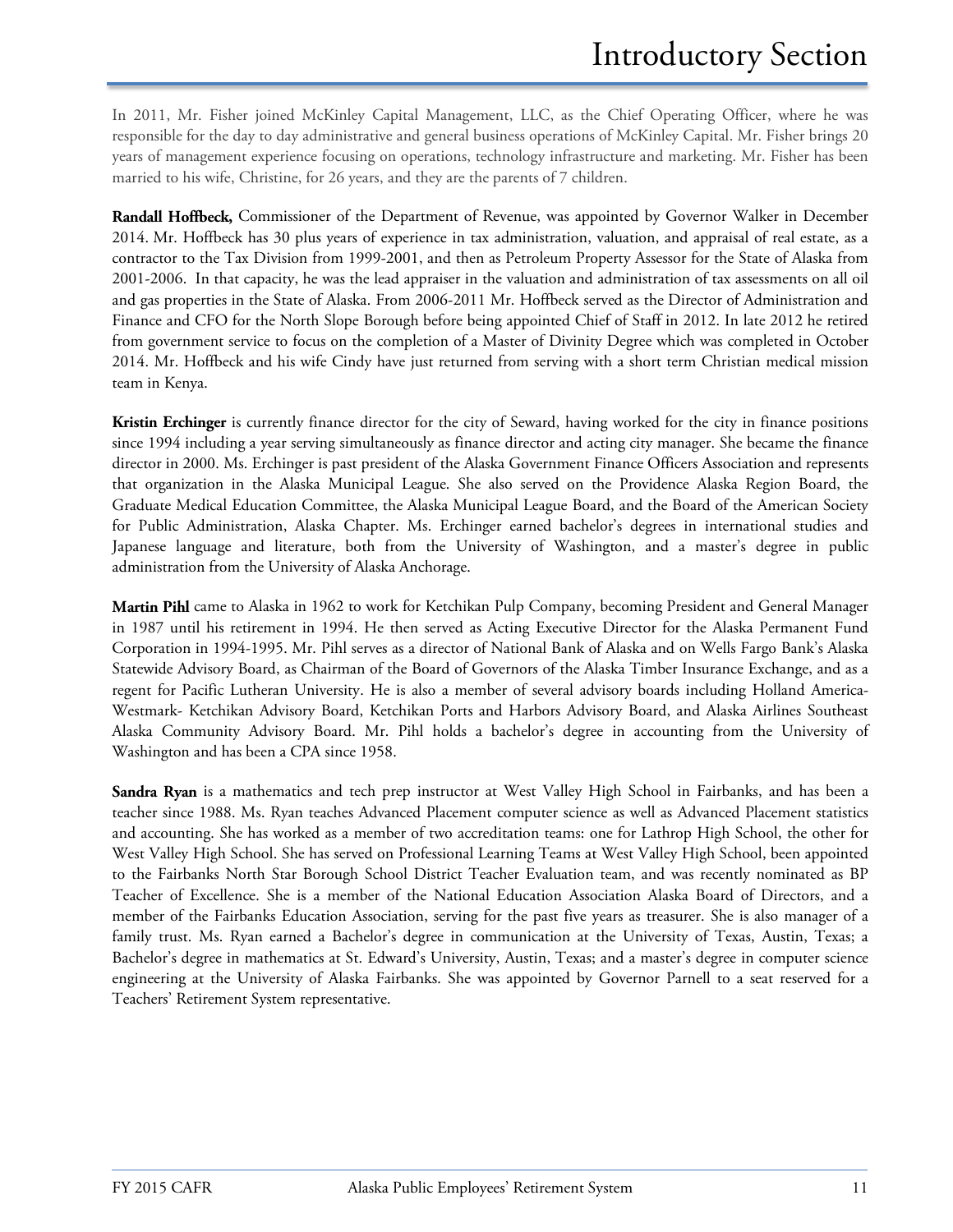In 2011, Mr. Fisher joined McKinley Capital Management, LLC, as the Chief Operating Officer, where he was responsible for the day to day administrative and general business operations of McKinley Capital. Mr. Fisher brings 20 years of management experience focusing on operations, technology infrastructure and marketing. Mr. Fisher has been married to his wife, Christine, for 26 years, and they are the parents of 7 children.

**Randall Hoffbeck,** Commissioner of the Department of Revenue, was appointed by Governor Walker in December 2014. Mr. Hoffbeck has 30 plus years of experience in tax administration, valuation, and appraisal of real estate, as a contractor to the Tax Division from 1999-2001, and then as Petroleum Property Assessor for the State of Alaska from 2001-2006. In that capacity, he was the lead appraiser in the valuation and administration of tax assessments on all oil and gas properties in the State of Alaska. From 2006-2011 Mr. Hoffbeck served as the Director of Administration and Finance and CFO for the North Slope Borough before being appointed Chief of Staff in 2012. In late 2012 he retired from government service to focus on the completion of a Master of Divinity Degree which was completed in October 2014. Mr. Hoffbeck and his wife Cindy have just returned from serving with a short term Christian medical mission team in Kenya.

**Kristin Erchinger** is currently finance director for the city of Seward, having worked for the city in finance positions since 1994 including a year serving simultaneously as finance director and acting city manager. She became the finance director in 2000. Ms. Erchinger is past president of the Alaska Government Finance Officers Association and represents that organization in the Alaska Municipal League. She also served on the Providence Alaska Region Board, the Graduate Medical Education Committee, the Alaska Municipal League Board, and the Board of the American Society for Public Administration, Alaska Chapter. Ms. Erchinger earned bachelor's degrees in international studies and Japanese language and literature, both from the University of Washington, and a master's degree in public administration from the University of Alaska Anchorage.

**Martin Pihl** came to Alaska in 1962 to work for Ketchikan Pulp Company, becoming President and General Manager in 1987 until his retirement in 1994. He then served as Acting Executive Director for the Alaska Permanent Fund Corporation in 1994-1995. Mr. Pihl serves as a director of National Bank of Alaska and on Wells Fargo Bank's Alaska Statewide Advisory Board, as Chairman of the Board of Governors of the Alaska Timber Insurance Exchange, and as a regent for Pacific Lutheran University. He is also a member of several advisory boards including Holland America-Westmark- Ketchikan Advisory Board, Ketchikan Ports and Harbors Advisory Board, and Alaska Airlines Southeast Alaska Community Advisory Board. Mr. Pihl holds a bachelor's degree in accounting from the University of Washington and has been a CPA since 1958.

**Sandra Ryan** is a mathematics and tech prep instructor at West Valley High School in Fairbanks, and has been a teacher since 1988. Ms. Ryan teaches Advanced Placement computer science as well as Advanced Placement statistics and accounting. She has worked as a member of two accreditation teams: one for Lathrop High School, the other for West Valley High School. She has served on Professional Learning Teams at West Valley High School, been appointed to the Fairbanks North Star Borough School District Teacher Evaluation team, and was recently nominated as BP Teacher of Excellence. She is a member of the National Education Association Alaska Board of Directors, and a member of the Fairbanks Education Association, serving for the past five years as treasurer. She is also manager of a family trust. Ms. Ryan earned a Bachelor's degree in communication at the University of Texas, Austin, Texas; a Bachelor's degree in mathematics at St. Edward's University, Austin, Texas; and a master's degree in computer science engineering at the University of Alaska Fairbanks. She was appointed by Governor Parnell to a seat reserved for a Teachers' Retirement System representative.